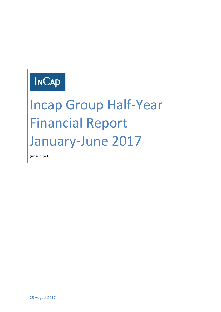### **INCAP**

# Incap Group Half-Year Financial Report January-June 2017

(unaudited)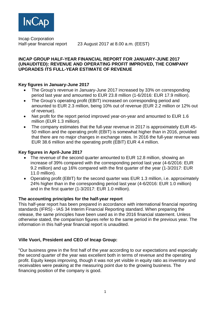

Incap Corporation

Half-year financial report 23 August 2017 at 8.00 a.m. (EEST)

#### **INCAP GROUP HALF-YEAR FINANCIAL REPORT FOR JANUARY-JUNE 2017 (UNAUDITED): REVENUE AND OPERATING PROFIT IMPROVED, THE COMPANY UPGRADES ITS FULL-YEAR ESTIMATE OF REVENUE**

#### **Key figures in January-June 2017**

- The Group's revenue in January-June 2017 increased by 33% on corresponding period last year and amounted to EUR 23.8 million (1-6/2016: EUR 17.9 million).
- The Group's operating profit (EBIT) increased on corresponding period and amounted to EUR 2.3 million, being 10% out of revenue (EUR 2.2 million or 12% out of revenue).
- Net profit for the report period improved year-on-year and amounted to EUR 1.6 million (EUR 1.3 million).
- The company estimates that the full-year revenue in 2017 is approximately EUR 45- 50 million and the operating profit (EBIT) is somewhat higher than in 2016, provided that there are no major changes in exchange rates. In 2016 the full-year revenue was EUR 38.6 million and the operating profit (EBIT) EUR 4.4 million.

#### **Key figures in April-June 2017**

- The revenue of the second quarter amounted to EUR 12.8 million, showing an increase of 39% compared with the corresponding period last year (4-6/2016: EUR 9.2 million) and up 16% compared with the first quarter of the year (1-3/2017: EUR 11.0 million).
- Operating profit (EBIT) for the second quarter was EUR 1.3 million, i.e. approximately 24% higher than in the corresponding period last year (4-6/2016: EUR 1.0 million) and in the first quarter (1-3/2017: EUR 1.0 million).

#### **The accounting principles for the half-year report**

This half-year report has been prepared in accordance with international financial reporting standards (IFRS) - IAS 34 Interim Financial Reporting standard. When preparing the release, the same principles have been used as in the 2016 financial statement. Unless otherwise stated, the comparison figures refer to the same period in the previous year. The information in this half-year financial report is unaudited.

#### **Ville Vuori, President and CEO of Incap Group:**

"Our business grew in the first half of the year according to our expectations and especially the second quarter of the year was excellent both in terms of revenue and the operating profit. Equity keeps improving, though it was not yet visible in equity ratio as inventory and receivables were peaking at the measuring point due to the growing business. The financing position of the company is good.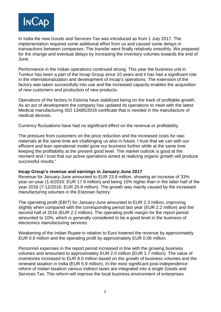

In India the new Goods and Services Tax was introduced as from 1 July 2017. The implementation required some additional effort from us and caused some delays in transactions between companies. The transfer went finally relatively smoothly. We prepared for the change and eventual delays by increasing the inventory volumes towards the end of June.

Performance in the Indian operations continued strong. This year the business unit in Tumkur has been a part of the Incap Group since 10 years and it has had a significant role in the internationalization and development of Incap's operations. The extension of the factory was taken successfully into use and the increased capacity enables the acquisition of new customers and production of new products.

Operations of the factory in Estonia have stabilized being on the track of profitable growth. As an act of development the company has updated its operations to meet with the latest Medical manufacturing ISO 13485/2016 certificate that is needed in the manufacture of medical devices.

Currency fluctuations have had no significant effect on the revenue or profitability.

The pressure from customers on the price reduction and the increased costs for rawmaterials at the same time are challenging us also in future. I trust that we can with our efficient and lean operational model grow our business further while at the same time keeping the profitability at the present good level. The market outlook is good at the moment and I trust that our active operations aimed at realizing organic growth will produce successful results."

#### **Incap Group's revenue and earnings in January-June 2017**

Revenue for January-June amounted to EUR 23.8 million, showing an increase of 33% year-on-year (1-6/2016: EUR 17.9 million) and being 15% higher than in the latter half of the year 2016 (7-12/2016: EUR 20.8 million). The growth was mainly caused by the increased manufacturing volumes in the Estonian factory.

The operating profit (EBIT) for January-June amounted to EUR 2.3 million, improving slightly when compared with the corresponding period last year (EUR 2.2 million) and the second half of 2016 (EUR 2.2 million). The operating profit margin for the report period amounted to 10%, which is generally considered to be a good level in the business of electronics manufacturing services.

Weakening of the Indian Rupee in relation to Euro lowered the revenue by approximately EUR 0.6 million and the operating profit by approximately EUR 0.06 million.

Personnel expenses in the report period increased in line with the growing business volumes and amounted to approximately EUR 2.0 million (EUR 1.7 million). The value of inventories increased to EUR 8.0 million based on the growth of business volumes and the renewed taxation in India (EUR 5.9 million). In the most significant post-independence reform of Indian taxation various indirect taxes are integrated into a single Goods and Services Tax. The reform will improve the local business environment of enterprises.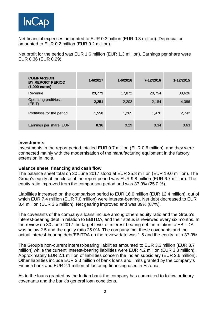

Net financial expenses amounted to EUR 0.3 million (EUR 0.3 million). Depreciation amounted to EUR 0.2 million (EUR 0.2 million).

Net profit for the period was EUR 1.6 million (EUR 1.3 million). Earnings per share were EUR 0.36 (EUR 0.29).

| <b>COMPARISON</b><br><b>BY REPORT PERIOD</b><br>$(1,000$ euros) | 1-6/2017 | $1 - 6/2016$ | 7-12/2016 | 1-12/2015 |
|-----------------------------------------------------------------|----------|--------------|-----------|-----------|
| Revenue                                                         | 23,779   | 17,872       | 20,754    | 38,626    |
| Operating profit/loss<br>(EBIT)                                 | 2,251    | 2,202        | 2,184     | 4,386     |
| Profit/loss for the period                                      | 1,550    | 1,265        | 1,476     | 2,742     |
| Earnings per share, EUR                                         | 0.36     | 0.29         | 0.34      | 0.63      |

#### **Investments**

Investments in the report period totalled EUR 0.7 million (EUR 0.6 million), and they were connected mainly with the modernisation of the manufacturing equipment in the factory extension in India.

#### **Balance sheet, financing and cash flow**

The balance sheet total on 30 June 2017 stood at EUR 25.8 million (EUR 19.0 million). The Group's equity at the close of the report period was EUR 9.8 million (EUR 6.7 million). The equity ratio improved from the comparison period and was 37.9% (25.0 %).

Liabilities increased on the comparison period to EUR 16.0 million (EUR 12.4 million), out of which EUR 7.4 million (EUR 7.0 million) were interest-bearing. Net debt decreased to EUR 3.4 million (EUR 3.6 million). Net gearing improved and was 39% (87%).

The covenants of the company's loans include among others equity ratio and the Group's interest-bearing debt in relation to EBITDA, and their status is reviewed every six months. In the review on 30 June 2017 the target level of interest-bearing debt in relation to EBITDA was below 2.5 and the equity ratio 25.0%. The company met these covenants and the actual interest-bearing debt/EBITDA on the review date was 1.5 and the equity ratio 37.9%.

The Group's non-current interest-bearing liabilities amounted to EUR 3.3 million (EUR 3.7 million) while the current interest-bearing liabilities were EUR 4.2 million (EUR 3.3 million). Approximately EUR 2.1 million of liabilities concern the Indian subsidiary (EUR 2.6 million). Other liabilities include EUR 3.3 million of bank loans and limits granted by the company's Finnish bank and EUR 2.1 million of factoring financing used in Estonia.

As to the loans granted by the Indian bank the company has committed to follow ordinary covenants and the bank's general loan conditions.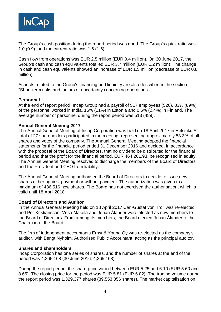

The Group's cash position during the report period was good. The Group's quick ratio was 1.0 (0.9), and the current ratio was 1.6 (1.6).

Cash flow from operations was EUR 2.5 million (EUR 0.4 million). On 30 June 2017, the Group's cash and cash equivalents totalled EUR 3.7 million (EUR 1.2 million). The change in cash and cash equivalents showed an increase of EUR 1.5 million (decrease of EUR 0.8 million).

Aspects related to the Group's financing and liquidity are also described in the section "Short-term risks and factors of uncertainty concerning operations".

#### **Personnel**

At the end of report period, Incap Group had a payroll of 517 employees (520). 83% (89%) of the personnel worked in India, 16% (11%) in Estonia and 0.6% (0.4%) in Finland. The average number of personnel during the report period was 513 (489).

#### **Annual General Meeting 2017**

The Annual General Meeting of Incap Corporation was held on 18 April 2017 in Helsinki. A total of 27 shareholders participated in the meeting, representing approximately 53.3% of all shares and votes of the company. The Annual General Meeting adopted the financial statements for the financial period ended 31 December 2016 and decided, in accordance with the proposal of the Board of Directors, that no dividend be distributed for the financial period and that the profit for the financial period, EUR 464,201.93, be recognised in equity. The Annual General Meeting resolved to discharge the members of the Board of Directors and the President and CEO from liability.

The Annual General Meeting authorised the Board of Directors to decide to issue new shares either against payment or without payment. The authorization was given to a maximum of 436,516 new shares. The Board has not exercised the authorisation, which is valid until 18 April 2018.

#### **Board of Directors and Auditor**

In the Annual General Meeting held on 18 April 2017 Carl-Gustaf von Troil was re-elected and Per Kristiansson, Vesa Mäkelä and Johan Ålander were elected as new members to the Board of Directors. From among its members, the Board elected Johan Ålander to the Chairman of the Board.

The firm of independent accountants Ernst & Young Oy was re-elected as the company's auditor, with Bengt Nyholm, Authorised Public Accountant, acting as the principal auditor.

#### **Shares and shareholders**

Incap Corporation has one series of shares, and the number of shares at the end of the period was 4,365,168 (30 June 2016: 4,365,168).

During the report period, the share price varied between EUR 5.25 and 6.10 (EUR 5.60 and 8.65). The closing price for the period was EUR 5.81 (EUR 6.02). The trading volume during the report period was 1,329,377 shares (39,553,856 shares). The market capitalisation on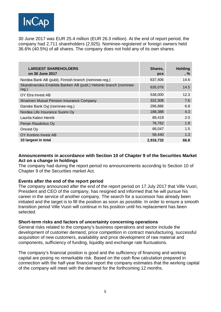

30 June 2017 was EUR 25.4 million (EUR 26.3 million). At the end of report period, the company had 2,711 shareholders (2,925). Nominee-registered or foreign owners held 36.6% (40.5%) of all shares. The company does not hold any of its own shares.

| <b>LARGEST SHAREHOLDERS</b><br>on 30 June 2017                                 | Shares,<br>pcs | <b>Holding</b><br>$, \%$ |
|--------------------------------------------------------------------------------|----------------|--------------------------|
| Nordea Bank AB (publ), Finnish branch (nominee-reg.)                           | 637,406        | 14.6                     |
| Skandinaviska Enskilda Banken AB (publ.) Helsinki branch (nominee-<br>$reg.$ ) | 635,076        | 14.5                     |
| OY Etra Invest AB                                                              | 538,000        | 12.3                     |
| Ilmarinen Mutual Pension Insurance Company                                     | 332,308        | 7.6                      |
| Danske Bank Oyj (nominee-reg.)                                                 | 296,886        | 6.8                      |
| Nordea Life Insurance Suomi Oy                                                 | 188,388        | 4.3                      |
| Laurila Kalevi Henrik                                                          | 89,419         | 2.0                      |
| Penan Raudoitus Oy                                                             | 76,762         | 1.8                      |
| Onvest Oy                                                                      | 66,047         | 1.5                      |
| OY Kontino Invest AB                                                           | 56,440         | 1.3                      |
| 10 largest in total                                                            | 2,916,732      | 66.8                     |

#### **Announcements in accordance with Section 10 of Chapter 9 of the Securities Market Act on a change in holdings**

The company had during the report period no announcements according to Section 10 of Chapter 9 of the Securities market Act.

#### **Events after the end of the report period**

The company announced after the end of the report period on 17 July 2017 that Ville Vuori, President and CEO of the company, has resigned and informed that he will pursue his career in the service of another company. The search for a successor has already been initiated and the target is to fill the position as soon as possible. In order to ensure a smooth transition period Ville Vuori will continue in his position until his replacement has been selected.

#### **Short-term risks and factors of uncertainty concerning operations**

General risks related to the company's business operations and sector include the development of customer demand, price competition in contract manufacturing, successful acquisition of new customers, availability and price development of raw material and components, sufficiency of funding, liquidity and exchange rate fluctuations.

The company's financial position is good and the sufficiency of financing and working capital are posing no remarkable risk. Based on the cash flow calculation prepared in connection with the half-year financial report the company estimates that the working capital of the company will meet with the demand for the forthcoming 12 months.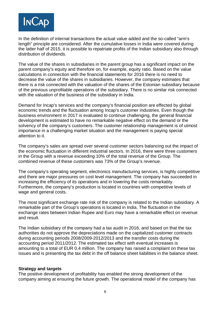

In the definition of internal transactions the actual value added and the so-called "arm's length" principle are considered. After the cumulative losses in India were covered during the latter half of 2015, it is possible to repatriate profits of the Indian subsidiary also through distribution of dividends.

The value of the shares in subsidiaries in the parent group has a significant impact on the parent company's equity and therefore on, for example, equity ratio. Based on the value calculations in connection with the financial statements for 2016 there is no need to decrease the value of the shares in subsidiaries. However, the company estimates that there is a risk connected with the valuation of the shares of the Estonian subsidiary because of the previous unprofitable operations of the subsidiary. There is no similar risk connected with the valuation of the business of the subsidiary in India.

Demand for Incap's services and the company's financial position are effected by global economic trends and the fluctuation among Incap's customer industries. Even though the business environment in 2017 is evaluated to continue challenging, the general financial development is estimated to have no remarkable negative effect on the demand or the solvency of the company's customers. The customer relationship management is of utmost importance in a challenging market situation and the management is paying special attention to it.

The company's sales are spread over several customer sectors balancing out the impact of the economic fluctuation in different industrial sectors. In 2016, there were three customers in the Group with a revenue exceeding 10% of the total revenue of the Group. The combined revenue of these customers was 73% of the Group's revenue.

The company's operating segment, electronics manufacturing services, is highly competitive and there are major pressures on cost level management. The company has succeeded in increasing the efficiency of its operations and in lowering the costs remarkably. Furthermore, the company's production is located in countries with competitive levels of wage and general costs.

The most significant exchange rate risk of the company is related to the Indian subsidiary. A remarkable part of the Group's operations is located in India. The fluctuation in the exchange rates between Indian Rupee and Euro may have a remarkable effect on revenue and result.

The Indian subsidiary of the company had a tax audit in 2016, and based on that the tax authorities do not approve the depreciations made on the capitalized customer contracts during accounting periods 2008/2009-2012/2013 and the transfer costs during the accounting period 2011/2012. The estimated tax effect with eventual increases is amounting to a total of EUR 0.4 million. The company has raised a complaint on these tax issues and is presenting the tax debt in the off balance sheet liabilities in the balance sheet.

#### **Strategy and targets**

The positive development of profitability has enabled the strong development of the company aiming at ensuring the future growth. The operational model of the company has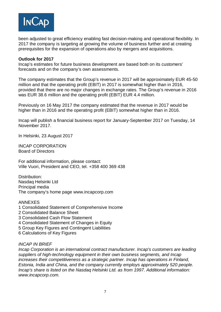

been adjusted to great efficiency enabling fast decision-making and operational flexibility. In 2017 the company is targeting at growing the volume of business further and at creating prerequisites for the expansion of operations also by mergers and acquisitions.

#### **Outlook for 2017**

Incap's estimates for future business development are based both on its customers' forecasts and on the company's own assessments.

The company estimates that the Group's revenue in 2017 will be approximately EUR 45-50 million and that the operating profit (EBIT) in 2017 is somewhat higher than in 2016, provided that there are no major changes in exchange rates. The Group's revenue in 2016 was EUR 38.6 million and the operating profit (EBIT) EUR 4.4 million.

Previously on 16 May 2017 the company estimated that the revenue in 2017 would be higher than in 2016 and the operating profit (EBIT) somewhat higher than in 2016.

Incap will publish a financial business report for January-September 2017 on Tuesday, 14 November 2017.

In Helsinki, 23 August 2017

INCAP CORPORATION Board of Directors

For additional information, please contact: Ville Vuori, President and CEO, tel. +358 400 369 438

Distribution: Nasdaq Helsinki Ltd Principal media The company's home page www.incapcorp.com

#### ANNEXES

- 1 Consolidated Statement of Comprehensive Income
- 2 Consolidated Balance Sheet
- 3 Consolidated Cash Flow Statement
- 4 Consolidated Statement of Changes in Equity
- 5 Group Key Figures and Contingent Liabilities
- 6 Calculations of Key Figures

#### *INCAP IN BRIEF*

*Incap Corporation is an international contract manufacturer. Incap's customers are leading suppliers of high-technology equipment in their own business segments, and Incap increases their competitiveness as a strategic partner. Incap has operations in Finland, Estonia, India and China, and the company currently employs approximately 520 people. Incap's share is listed on the Nasdaq Helsinki Ltd. as from 1997. Additional information: www.incapcorp.com.*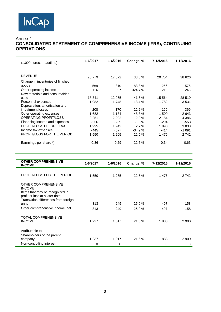#### Annex 1

#### **CONSOLIDATED STATEMENT OF COMPREHENSIVE INCOME (IFRS), CONTINUING OPERATIONS**

| (1,000 euros, unaudited)          | 1-6/2017 | 1-6/2016 | Change, % | 7-12/2016 | 1-12/2016 |
|-----------------------------------|----------|----------|-----------|-----------|-----------|
|                                   |          |          |           |           |           |
| <b>REVENUE</b>                    | 23779    | 17872    | 33,0 %    | 20 754    | 38 626    |
| Change in inventories of finished |          |          |           |           |           |
| goods                             | 569      | 310      | 83,8%     | 266       | 575       |
| Other operating income            | 116      | 27       | 324,7%    | 219       | 246       |
| Raw materials and consumables     |          |          |           |           |           |
| used                              | 18 341   | 12 955   | 41.6%     | 15 5 64   | 28 519    |
| Personnel expenses                | 1982     | 1748     | 13,4 %    | 1 782     | 3531      |
| Depreciation, amortisation and    |          |          |           |           |           |
| impairment losses                 | 208      | 170      | 22,2%     | 199       | 369       |
| Other operating expenses          | 1682     | 1 1 3 4  | 48,3%     | 1 509     | 2643      |
| <b>OPERATING PROFIT/LOSS</b>      | 2 2 5 1  | 2 2 0 2  | 2,2%      | 2 1 8 4   | 4 3 8 6   |
| Financing income and expenses     | $-256$   | $-259$   | $-1.5%$   | $-294$    | $-553$    |
| PROFIT/LOSS BEFORE TAX            | 1995     | 1942     | 2.7%      | 1890      | 3833      |
| Income tax expenses               | $-445$   | $-677$   | $-34.2%$  | $-414$    | $-1091$   |
| PROFIT/LOSS FOR THE PERIOD        | 1 550    | 1 2 6 5  | 22,5%     | 1476      | 2742      |
| Earnnings per share *)            | 0,36     | 0,29     | 22,5 %    | 0,34      | 0,63      |
|                                   |          |          |           |           |           |

| <b>OTHER COMPREHENSIVE</b><br><b>INCOME</b>                                                                                                  | 1-6/2017 | 1-6/2016 | Change, % | 7-12/2016 | 1-12/2016 |
|----------------------------------------------------------------------------------------------------------------------------------------------|----------|----------|-----------|-----------|-----------|
|                                                                                                                                              |          |          |           |           |           |
| <b>PROFIT/LOSS FOR THE PERIOD</b>                                                                                                            | 1 550    | 1 2 6 5  | 22,5 %    | 1476      | 2 7 4 2   |
| OTHER COMPREHENSIVE<br>INCOME:<br>Items that may be recognized in<br>profit or loss at a later date:<br>Translation differences from foreign |          |          |           |           |           |
| units                                                                                                                                        | $-313$   | $-249$   | 25,9%     | 407       | 158       |
| Other comprehensive income, net                                                                                                              | $-313$   | $-249$   | 25,9%     | 407       | 158       |
| <b>TOTAL COMPREHENSIVE</b>                                                                                                                   |          |          |           |           |           |
| <b>INCOME</b>                                                                                                                                | 1 2 3 7  | 1 0 1 7  | 21,6%     | 1883      | 2 9 0 0   |
| Attributable to:<br>Shareholders of the parent                                                                                               |          |          |           |           |           |
| company                                                                                                                                      | 1 2 3 7  | 1 0 1 7  | 21,6%     | 1883      | 2 9 0 0   |
| Non-controlling interest                                                                                                                     |          |          |           |           |           |
|                                                                                                                                              | 0        | 0        |           | 0         | 0         |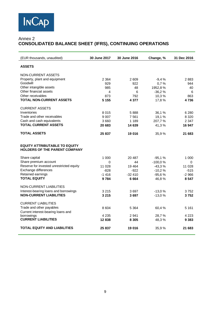

#### Annex 2 **CONSOLIDATED BALANCE SHEET (IFRS), CONTINUING OPERATIONS**

| (EUR thousands, unaudited)                                                   | 30 June 2017 | 30 June 2016 | Change, % | 31 Dec 2016 |
|------------------------------------------------------------------------------|--------------|--------------|-----------|-------------|
| <b>ASSETS</b>                                                                |              |              |           |             |
| <b>NON-CURRENT ASSETS</b>                                                    |              |              |           |             |
| Property, plant and equipment                                                | 2 3 6 4      | 2 609        | $-9,4%$   | 2883        |
| Goodwill                                                                     | 929          | 922          | 0,7%      | 944         |
| Other intangible assets                                                      | 985          | 48           | 1952,8%   | 40          |
| Other financial assets                                                       | 4            | 6            | $-36,2%$  | 6           |
| Other receivables                                                            | 873          | 792          | 10,3%     | 863         |
| <b>TOTAL NON-CURRENT ASSETS</b>                                              | 5 1 5 5      | 4 377        | 17,8%     | 4736        |
| <b>CURRENT ASSETS</b>                                                        |              |              |           |             |
| Inventories                                                                  | 8015         | 5888         | 36,1%     | 6 2 8 0     |
| Trade and other receivables                                                  | 9 0 0 7      | 7561         | 19,1%     | 8 3 2 0     |
| Cash and cash equivalents                                                    | 3 6 6 0      | 1 1 8 9      | 207,7%    | 2 3 4 7     |
| <b>TOTAL CURRENT ASSETS</b>                                                  | 20 683       | 14 639       | 41,3%     | 16 947      |
| <b>TOTAL ASSETS</b>                                                          | 25 837       | 19 016       | 35,9%     | 21 683      |
| <b>EQUITY ATTRIBUTABLE TO EQUITY</b><br><b>HOLDERS OF THE PARENT COMPANY</b> |              |              |           |             |
| Share capital                                                                | 1 0 0 0      | 20 487       | $-95,1%$  | 1 0 0 0     |
| Share premium account                                                        | 0            | 44           | $-100,0%$ | 0           |
| Reserve for invested unrestricted equity                                     | 11 0 28      | 19 4 64      | $-43,3%$  | 11 028      |
| Exchange differences                                                         | $-828$       | $-922$       | $-10,2%$  | $-515$      |
| Retained earnings                                                            | $-1416$      | $-32410$     | $-95,6%$  | $-2966$     |
| <b>TOTAL EQUITY</b>                                                          | 9784         | 6664         | 46,8%     | 8 5 4 7     |
| NON-CURRENT LIABILITIES                                                      |              |              |           |             |
| Interest-bearing loans and borrowings                                        | 3 2 1 5      | 3697         | $-13.0%$  | 3752        |
| <b>NON-CURRENT LIABILITIES</b>                                               | 3 2 1 5      | 3697         | $-13,0%$  | 3752        |
| <b>CURRENT LIABILITIES</b>                                                   |              |              |           |             |
| Trade and other payables                                                     |              |              |           |             |
| Current interest-bearing loans and                                           | 8 6 0 4      | 5 3 6 4      | 60,4%     | 5 1 6 1     |
| borrowings                                                                   | 4 2 3 5      | 2941         | 28,7%     | 4 2 2 3     |
| <b>CURRENT LIABILITIES</b>                                                   | 12838        | 8 3 0 5      | 48,3%     | 9 3 8 3     |
| <b>TOTAL EQUITY AND LIABILITIES</b>                                          | 25 837       | 19 016       | 35,9%     | 21 683      |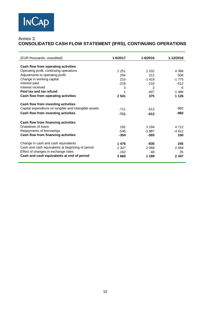#### Annex 3 **CONSOLIDATED CASH FLOW STATEMENT (IFRS), CONTINUING OPERATIONS**

| (EUR thousands, unaudited)                            | 1-6/2017 | 1-6/2016 | 1-12/2016 |
|-------------------------------------------------------|----------|----------|-----------|
|                                                       |          |          |           |
| Cash flow from operating activities                   |          |          |           |
| Operating profit, continuing operations               | 2 2 5 1  | 2 2 0 2  | 4 3 8 6   |
| Adjustments to operating profit                       | 294      | 212      | 508       |
| Change in working capital                             | 210      | $-1419$  | $-1775$   |
| Interest paid                                         | $-218$   | $-216$   | $-512$    |
| Interest received                                     | 3        | 3        | 6         |
| Paid tax and tax refund                               | 1        | $-407$   | $-1486$   |
| Cash flow from operating activities                   | 2 5 4 1  | 375      | 1 1 2 6   |
| Cash flow from investing activities                   |          |          |           |
| Capital expenditure on tangible and intangible assets | $-711$   | $-612$   | $-982$    |
| Cash flow from investing activities                   | $-711$   | $-612$   | $-982$    |
|                                                       |          |          |           |
| Cash flow from financing activities                   |          |          |           |
| Drawdown of loans                                     | 192      | 3 2 9 4  | 4 7 1 2   |
| Repayments of borrowings                              | -546     | $-3887$  | $-4612$   |
| Cash flow from financing activities                   | $-354$   | -593     | 100       |
| Change in cash and cash equivalents                   | 1476     | -830     | 245       |
| Cash and cash equivalents at beginning of period      | 2 3 4 7  | 2068     | 2 0 6 8   |
| Effect of changes in exchange rates                   | $-162$   | -48      | 35        |
| Cash and cash equivalents at end of period            | 3660     | 1 1 8 9  | 2 3 4 7   |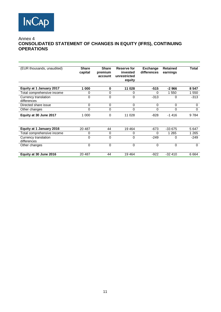

#### Annex 4 **CONSOLIDATED STATEMENT OF CHANGES IN EQUITY (IFRS), CONTINUING OPERATIONS**

| (EUR thousands, unaudited)          | <b>Share</b><br>capital | <b>Share</b><br>premium<br>account | Reserve for<br>invested<br>unrestricted<br>equity | <b>Exchange</b><br>differences | <b>Retained</b><br>earnings | Total    |
|-------------------------------------|-------------------------|------------------------------------|---------------------------------------------------|--------------------------------|-----------------------------|----------|
| Equity at 1 January 2017            | 1 000                   | 0                                  | 11 028                                            | $-515$                         | $-2966$                     | 8 5 4 7  |
| Total comprehensive income          | 0                       | 0                                  | 0                                                 | 0                              | 1 550                       | 1 550    |
| Currency translation                | 0                       | 0                                  | 0                                                 | $-313$                         | $\Omega$                    | $-313$   |
| differences                         |                         |                                    |                                                   |                                |                             |          |
| Directed share issue                | 0                       | 0                                  | 0                                                 | 0                              | $\Omega$                    | 0        |
| Other changes                       | 0                       | 0                                  | 0                                                 | 0                              | $\Omega$                    | $\Omega$ |
| Equity at 30 June 2017              | 1 0 0 0                 | $\Omega$                           | 11 028                                            | -828                           | $-1416$                     | 9784     |
|                                     |                         |                                    |                                                   |                                |                             |          |
| Equity at 1 January 2016            | 20 487                  | 44                                 | 19 4 64                                           | $-673$                         | $-33675$                    | 5 6 4 7  |
| Total comprehensive income          | 0                       | 0                                  | 0                                                 | 0                              | 1 2 6 5                     | 1 2 6 5  |
| Currency translation<br>differences | 0                       | $\mathbf 0$                        | 0                                                 | $-249$                         | $\Omega$                    | $-249$   |
| Other changes                       | 0                       | 0                                  | 0                                                 | 0                              | $\mathbf 0$                 | $\Omega$ |
| Equity at 30 June 2016              | 20 487                  | 44                                 | 19464                                             | $-922$                         | $-32410$                    | 6664     |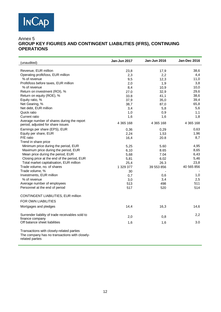## **INCAP**

#### Annex 5 **GROUP KEY FIGURES AND CONTINGENT LIABILITIES (IFRS), CONTINUING OPERATIONS**

| (unaudited)                                      | Jan-Jun 2017 | Jan-Jun 2016 | <b>Jan-Dec 2016</b> |
|--------------------------------------------------|--------------|--------------|---------------------|
| Revenue, EUR million                             | 23,8         | 17,9         | 38,6                |
| Operating profit/loss, EUR million               | 2,3          | 2,2          | 4,4                 |
| % of revenue                                     | 9,5          | 12,3         | 11,0                |
| Profit/loss before taxes, EUR million            | 2,0          | 1,9          | 3,8                 |
| % of revenue                                     | 8,4          | 10,9         | 10,0                |
| Return on investment (ROI), %                    | 27.0         | 32,9         | 29,6                |
| Return on equity (ROE), %                        | 33.8         | 41,1         | 38,6                |
| Equity ratio, %                                  | 37,9         | 35,0         | 39,4                |
| Net Gearing, %                                   | 38,7         | 87,0         | 65,8                |
| Net debt, EUR million                            | 3,4          | 5,8          | 5,6                 |
| Quick ratio                                      | 1,0          | 0,9          | 1,1                 |
| Current ratio                                    | 1,6          | 1,6          | 1,8                 |
| Average number of shares during the report       |              |              |                     |
| period, adjusted for share issues                | 4 365 168    | 4 365 168    | 4 365 168           |
| Earnings per share (EPS), EUR                    | 0,36         | 0,29         | 0.63                |
| Equity per share, EUR                            | 2,24         | 1,53         | 1,96                |
| P/E ratio                                        | 16,4         | 20.8         | 8,7                 |
| Trend in share price                             |              |              |                     |
| Minimum price during the period, EUR             | 5,25         | 5.60         | 4,95                |
| Maximum price during the period, EUR             | 6,10         | 8.65         | 8,65                |
| Mean price during the period, EUR                | 5,68         | 7.04         | 6,43                |
| Closing price at the end of the period, EUR      | 5,81         | 6.02         | 5,46                |
| Total market capitalisation, EUR million         | 25,4         | 26.3         | 23,8                |
| Trade volume, no. of shares                      | 1 329 377    | 39 553 856   | 40 565 856          |
| Trade volume, %                                  | 30           |              |                     |
| Investments, EUR million                         | 0,7          | 0,6          | 1,0                 |
| % of revenue                                     | 3,0          | 3,4          | 2,5                 |
| Average number of employees                      | 513          | 498          | 511                 |
| Personnel at the end of period                   | 517          | 520          | 514                 |
| CONTINGENT LIABILITIES, EUR million              |              |              |                     |
| <b>FOR OWN LIABILITIES</b>                       |              |              |                     |
|                                                  |              |              |                     |
| Mortgages and pledges                            | 14,4         | 16,3         | 14,6                |
| Surrender liability of trade receivables sold to | 2,0          | 0,8          | 2,2                 |
| finance company                                  |              |              |                     |
| Off balance sheet liabilities                    | 1,6          | 1,6          | 3.0                 |
| Transactions with closely-related parties        |              |              |                     |
| The company has no transactions with closely-    |              |              |                     |
| related parties                                  |              |              |                     |